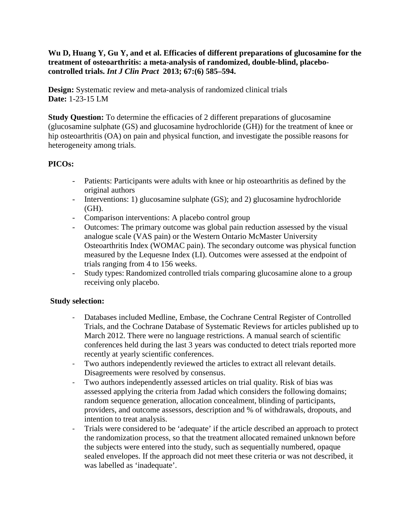## **Wu D, Huang Y, Gu Y, and et al. Efficacies of different preparations of glucosamine for the treatment of osteoarthritis: a meta-analysis of randomized, double-blind, placebocontrolled trials.** *Int J Clin Pract* **2013; 67:(6) 585–594.**

**Design:** Systematic review and meta-analysis of randomized clinical trials **Date:** 1-23-15 LM

**Study Question:** To determine the efficacies of 2 different preparations of glucosamine (glucosamine sulphate (GS) and glucosamine hydrochloride (GH)) for the treatment of knee or hip osteoarthritis (OA) on pain and physical function, and investigate the possible reasons for heterogeneity among trials.

# **PICOs:**

- Patients: Participants were adults with knee or hip osteoarthritis as defined by the original authors
- Interventions: 1) glucosamine sulphate (GS); and 2) glucosamine hydrochloride (GH).
- Comparison interventions: A placebo control group
- Outcomes: The primary outcome was global pain reduction assessed by the visual analogue scale (VAS pain) or the Western Ontario McMaster University Osteoarthritis Index (WOMAC pain). The secondary outcome was physical function measured by the Lequesne Index (LI). Outcomes were assessed at the endpoint of trials ranging from 4 to 156 weeks.
- Study types: Randomized controlled trials comparing glucosamine alone to a group receiving only placebo.

## **Study selection:**

- Databases included Medline, Embase, the Cochrane Central Register of Controlled Trials, and the Cochrane Database of Systematic Reviews for articles published up to March 2012. There were no language restrictions. A manual search of scientific conferences held during the last 3 years was conducted to detect trials reported more recently at yearly scientific conferences.
- Two authors independently reviewed the articles to extract all relevant details. Disagreements were resolved by consensus.
- Two authors independently assessed articles on trial quality. Risk of bias was assessed applying the criteria from Jadad which considers the following domains; random sequence generation, allocation concealment, blinding of participants, providers, and outcome assessors, description and % of withdrawals, dropouts, and intention to treat analysis.
- Trials were considered to be 'adequate' if the article described an approach to protect the randomization process, so that the treatment allocated remained unknown before the subjects were entered into the study, such as sequentially numbered, opaque sealed envelopes. If the approach did not meet these criteria or was not described, it was labelled as 'inadequate'.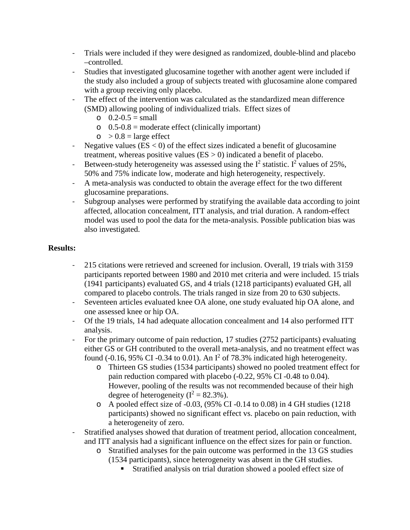- Trials were included if they were designed as randomized, double-blind and placebo –controlled.
- Studies that investigated glucosamine together with another agent were included if the study also included a group of subjects treated with glucosamine alone compared with a group receiving only placebo.
- The effect of the intervention was calculated as the standardized mean difference (SMD) allowing pooling of individualized trials. Effect sizes of
	- $0.2 0.5 = \text{small}$
	- $\circ$  0.5-0.8 = moderate effect (clinically important)
	- $\circ$  > 0.8 = large effect
- Negative values ( $ES < 0$ ) of the effect sizes indicated a benefit of glucosamine treatment, whereas positive values ( $ES > 0$ ) indicated a benefit of placebo.
- Between-study heterogeneity was assessed using the  $I^2$  statistic. I<sup>2</sup> values of 25%, 50% and 75% indicate low, moderate and high heterogeneity, respectively.
- A meta-analysis was conducted to obtain the average effect for the two different glucosamine preparations.
- Subgroup analyses were performed by stratifying the available data according to joint affected, allocation concealment, ITT analysis, and trial duration. A random-effect model was used to pool the data for the meta-analysis. Possible publication bias was also investigated.

## **Results:**

- 215 citations were retrieved and screened for inclusion. Overall, 19 trials with 3159 participants reported between 1980 and 2010 met criteria and were included. 15 trials (1941 participants) evaluated GS, and 4 trials (1218 participants) evaluated GH, all compared to placebo controls. The trials ranged in size from 20 to 630 subjects.
- Seventeen articles evaluated knee OA alone, one study evaluated hip OA alone, and one assessed knee or hip OA.
- Of the 19 trials, 14 had adequate allocation concealment and 14 also performed ITT analysis.
- For the primary outcome of pain reduction, 17 studies (2752 participants) evaluating either GS or GH contributed to the overall meta-analysis, and no treatment effect was found (-0.16, 95% CI -0.34 to 0.01). An  $I^2$  of 78.3% indicated high heterogeneity.
	- o Thirteen GS studies (1534 participants) showed no pooled treatment effect for pain reduction compared with placebo (-0.22, 95% CI -0.48 to 0.04). However, pooling of the results was not recommended because of their high degree of heterogeneity  $(I^2 = 82.3\%)$ .
	- o A pooled effect size of -0.03, (95% CI -0.14 to 0.08) in 4 GH studies (1218 participants) showed no significant effect vs. placebo on pain reduction, with a heterogeneity of zero.
- Stratified analyses showed that duration of treatment period, allocation concealment, and ITT analysis had a significant influence on the effect sizes for pain or function.
	- o Stratified analyses for the pain outcome was performed in the 13 GS studies
		- (1534 participants), since heterogeneity was absent in the GH studies.
			- Stratified analysis on trial duration showed a pooled effect size of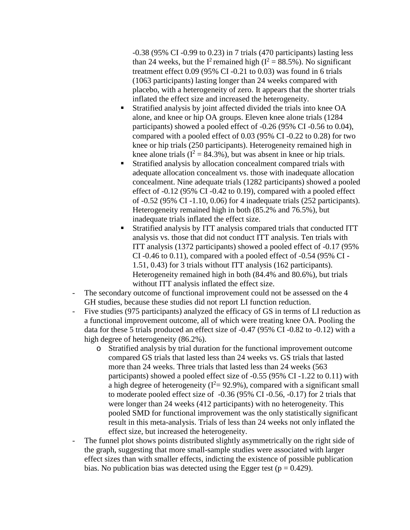-0.38 (95% CI -0.99 to 0.23) in 7 trials (470 participants) lasting less than 24 weeks, but the  $I^2$  remained high ( $I^2 = 88.5\%$ ). No significant treatment effect 0.09 (95% CI -0.21 to 0.03) was found in 6 trials (1063 participants) lasting longer than 24 weeks compared with placebo, with a heterogeneity of zero. It appears that the shorter trials inflated the effect size and increased the heterogeneity.

- Stratified analysis by joint affected divided the trials into knee OA alone, and knee or hip OA groups. Eleven knee alone trials (1284 participants) showed a pooled effect of -0.26 (95% CI -0.56 to 0.04), compared with a pooled effect of 0.03 (95% CI -0.22 to 0.28) for two knee or hip trials (250 participants). Heterogeneity remained high in knee alone trials ( $I^2 = 84.3\%$ ), but was absent in knee or hip trials.
- Stratified analysis by allocation concealment compared trials with adequate allocation concealment vs. those with inadequate allocation concealment. Nine adequate trials (1282 participants) showed a pooled effect of -0.12 (95% CI -0.42 to 0.19), compared with a pooled effect of -0.52 (95% CI -1.10, 0.06) for 4 inadequate trials (252 participants). Heterogeneity remained high in both (85.2% and 76.5%), but inadequate trials inflated the effect size.
- Stratified analysis by ITT analysis compared trials that conducted ITT analysis vs. those that did not conduct ITT analysis. Ten trials with ITT analysis (1372 participants) showed a pooled effect of -0.17 (95% CI -0.46 to 0.11), compared with a pooled effect of -0.54 (95% CI - 1.51, 0.43) for 3 trials without ITT analysis (162 participants). Heterogeneity remained high in both (84.4% and 80.6%), but trials without ITT analysis inflated the effect size.
- The secondary outcome of functional improvement could not be assessed on the 4 GH studies, because these studies did not report LI function reduction.
- Five studies (975 participants) analyzed the efficacy of GS in terms of LI reduction as a functional improvement outcome, all of which were treating knee OA. Pooling the data for these 5 trials produced an effect size of -0.47 (95% CI -0.82 to -0.12) with a high degree of heterogeneity (86.2%).
	- o Stratified analysis by trial duration for the functional improvement outcome compared GS trials that lasted less than 24 weeks vs. GS trials that lasted more than 24 weeks. Three trials that lasted less than 24 weeks (563 participants) showed a pooled effect size of -0.55 (95% CI -1.22 to 0.11) with a high degree of heterogeneity ( $I^2 = 92.9\%$ ), compared with a significant small to moderate pooled effect size of -0.36 (95% CI -0.56, -0.17) for 2 trials that were longer than 24 weeks (412 participants) with no heterogeneity. This pooled SMD for functional improvement was the only statistically significant result in this meta-analysis. Trials of less than 24 weeks not only inflated the effect size, but increased the heterogeneity.
- The funnel plot shows points distributed slightly asymmetrically on the right side of the graph, suggesting that more small-sample studies were associated with larger effect sizes than with smaller effects, indicting the existence of possible publication bias. No publication bias was detected using the Egger test ( $p = 0.429$ ).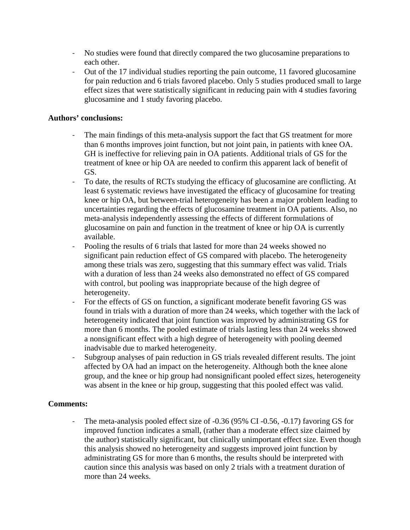- No studies were found that directly compared the two glucosamine preparations to each other.
- Out of the 17 individual studies reporting the pain outcome, 11 favored glucosamine for pain reduction and 6 trials favored placebo. Only 5 studies produced small to large effect sizes that were statistically significant in reducing pain with 4 studies favoring glucosamine and 1 study favoring placebo.

#### **Authors' conclusions:**

- The main findings of this meta-analysis support the fact that GS treatment for more than 6 months improves joint function, but not joint pain, in patients with knee OA. GH is ineffective for relieving pain in OA patients. Additional trials of GS for the treatment of knee or hip OA are needed to confirm this apparent lack of benefit of GS.
- To date, the results of RCTs studying the efficacy of glucosamine are conflicting. At least 6 systematic reviews have investigated the efficacy of glucosamine for treating knee or hip OA, but between-trial heterogeneity has been a major problem leading to uncertainties regarding the effects of glucosamine treatment in OA patients. Also, no meta-analysis independently assessing the effects of different formulations of glucosamine on pain and function in the treatment of knee or hip OA is currently available.
- Pooling the results of 6 trials that lasted for more than 24 weeks showed no significant pain reduction effect of GS compared with placebo. The heterogeneity among these trials was zero, suggesting that this summary effect was valid. Trials with a duration of less than 24 weeks also demonstrated no effect of GS compared with control, but pooling was inappropriate because of the high degree of heterogeneity.
- For the effects of GS on function, a significant moderate benefit favoring GS was found in trials with a duration of more than 24 weeks, which together with the lack of heterogeneity indicated that joint function was improved by administrating GS for more than 6 months. The pooled estimate of trials lasting less than 24 weeks showed a nonsignificant effect with a high degree of heterogeneity with pooling deemed inadvisable due to marked heterogeneity.
- Subgroup analyses of pain reduction in GS trials revealed different results. The joint affected by OA had an impact on the heterogeneity. Although both the knee alone group, and the knee or hip group had nonsignificant pooled effect sizes, heterogeneity was absent in the knee or hip group, suggesting that this pooled effect was valid.

## **Comments:**

- The meta-analysis pooled effect size of -0.36 (95% CI -0.56, -0.17) favoring GS for improved function indicates a small, (rather than a moderate effect size claimed by the author) statistically significant, but clinically unimportant effect size. Even though this analysis showed no heterogeneity and suggests improved joint function by administrating GS for more than 6 months, the results should be interpreted with caution since this analysis was based on only 2 trials with a treatment duration of more than 24 weeks.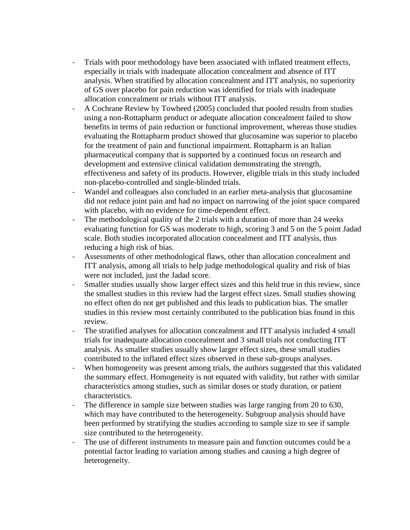- Trials with poor methodology have been associated with inflated treatment effects, especially in trials with inadequate allocation concealment and absence of ITT analysis. When stratified by allocation concealment and ITT analysis, no superiority of GS over placebo for pain reduction was identified for trials with inadequate allocation concealment or trials without ITT analysis.
- A Cochrane Review by Towheed (2005) concluded that pooled results from studies using a non-Rottapharm product or adequate allocation concealment failed to show benefits in terms of pain reduction or functional improvement, whereas those studies evaluating the Rottapharm product showed that glucosamine was superior to placebo for the treatment of pain and functional impairment. Rottapharm is an Italian pharmaceutical company that is supported by a continued focus on research and development and extensive clinical validation demonstrating the strength, effectiveness and safety of its products. However, eligible trials in this study included non-placebo-controlled and single-blinded trials.
- Wandel and colleagues also concluded in an earlier meta-analysis that glucosamine did not reduce joint pain and had no impact on narrowing of the joint space compared with placebo, with no evidence for time-dependent effect.
- The methodological quality of the 2 trials with a duration of more than 24 weeks evaluating function for GS was moderate to high, scoring 3 and 5 on the 5 point Jadad scale. Both studies incorporated allocation concealment and ITT analysis, thus reducing a high risk of bias.
- Assessments of other methodological flaws, other than allocation concealment and ITT analysis, among all trials to help judge methodological quality and risk of bias were not included, just the Jadad score.
- Smaller studies usually show larger effect sizes and this held true in this review, since the smallest studies in this review had the largest effect sizes. Small studies showing no effect often do not get published and this leads to publication bias. The smaller studies in this review most certainly contributed to the publication bias found in this review.
- The stratified analyses for allocation concealment and ITT analysis included 4 small trials for inadequate allocation concealment and 3 small trials not conducting ITT analysis. As smaller studies usually show larger effect sizes, these small studies contributed to the inflated effect sizes observed in these sub-groups analyses.
- When homogeneity was present among trials, the authors suggested that this validated the summary effect. Homogeneity is not equated with validity, but rather with similar characteristics among studies, such as similar doses or study duration, or patient characteristics.
- The difference in sample size between studies was large ranging from 20 to 630, which may have contributed to the heterogeneity. Subgroup analysis should have been performed by stratifying the studies according to sample size to see if sample size contributed to the heterogeneity.
- The use of different instruments to measure pain and function outcomes could be a potential factor leading to variation among studies and causing a high degree of heterogeneity.